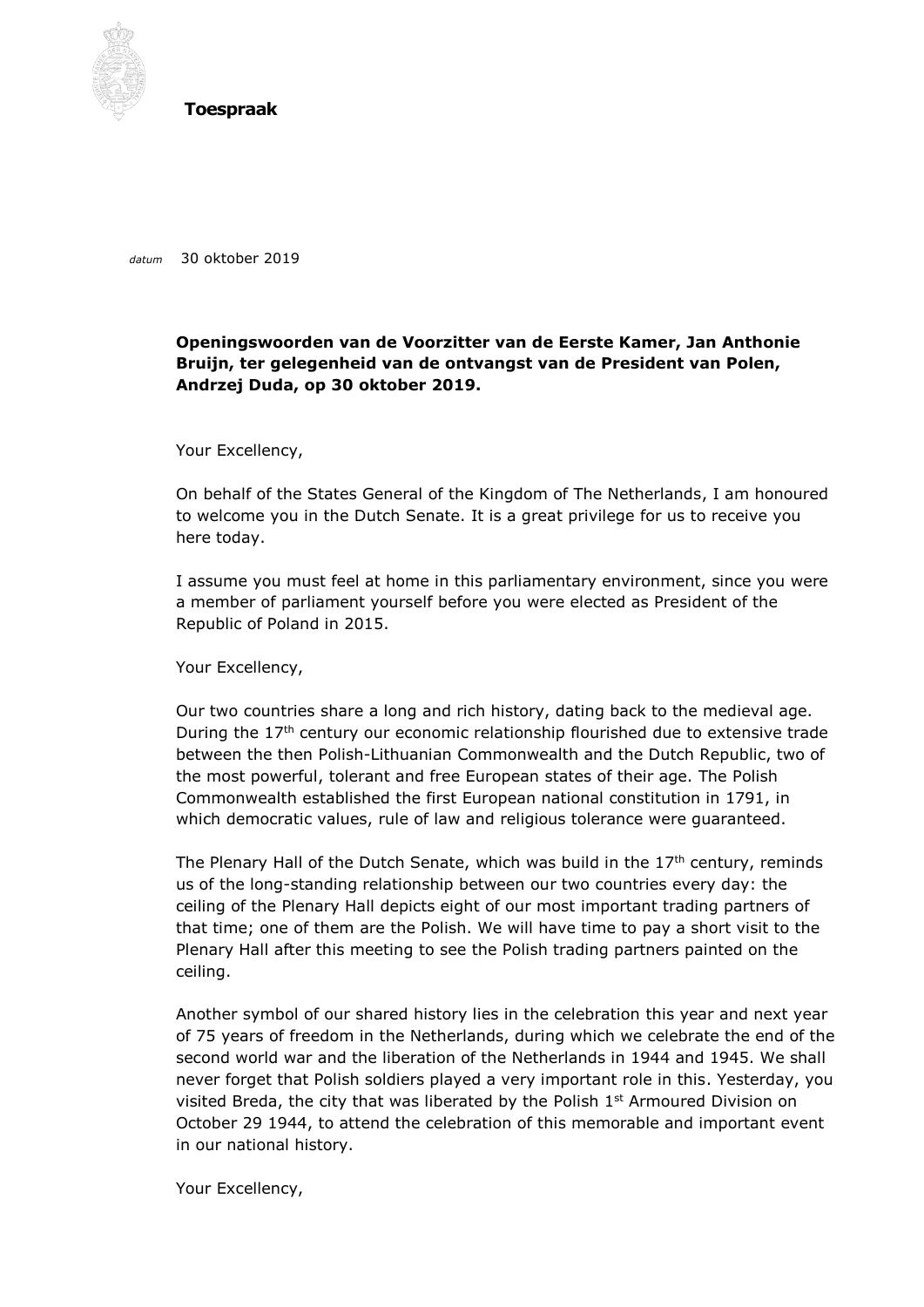

**Toespraak**

*datum* 30 oktober 2019

## **Openingswoorden van de Voorzitter van de Eerste Kamer, Jan Anthonie Bruijn, ter gelegenheid van de ontvangst van de President van Polen, Andrzej Duda, op 30 oktober 2019.**

Your Excellency,

On behalf of the States General of the Kingdom of The Netherlands, I am honoured to welcome you in the Dutch Senate. It is a great privilege for us to receive you here today.

I assume you must feel at home in this parliamentary environment, since you were a member of parliament yourself before you were elected as President of the Republic of Poland in 2015.

Your Excellency,

Our two countries share a long and rich history, dating back to the medieval age. During the  $17<sup>th</sup>$  century our economic relationship flourished due to extensive trade between the then Polish-Lithuanian Commonwealth and the Dutch Republic, two of the most powerful, tolerant and free European states of their age. The Polish Commonwealth established the first European national constitution in 1791, in which democratic values, rule of law and religious tolerance were guaranteed.

The Plenary Hall of the Dutch Senate, which was build in the  $17<sup>th</sup>$  century, reminds us of the long-standing relationship between our two countries every day: the ceiling of the Plenary Hall depicts eight of our most important trading partners of that time; one of them are the Polish. We will have time to pay a short visit to the Plenary Hall after this meeting to see the Polish trading partners painted on the ceiling.

Another symbol of our shared history lies in the celebration this year and next year of 75 years of freedom in the Netherlands, during which we celebrate the end of the second world war and the liberation of the Netherlands in 1944 and 1945. We shall never forget that Polish soldiers played a very important role in this. Yesterday, you visited Breda, the city that was liberated by the Polish  $1<sup>st</sup>$  Armoured Division on October 29 1944, to attend the celebration of this memorable and important event in our national history.

Your Excellency,